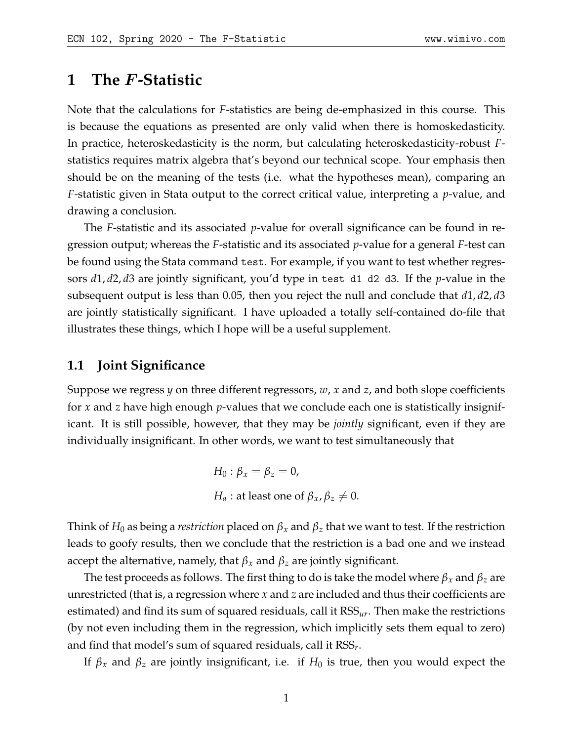# **1 The** F**-Statistic**

Note that the calculations for *F*-statistics are being de-emphasized in this course. This is because the equations as presented are only valid when there is homoskedasticity. In practice, heteroskedasticity is the norm, but calculating heteroskedasticity-robust *F*statistics requires matrix algebra that's beyond our technical scope. Your emphasis then should be on the meaning of the tests (i.e. what the hypotheses mean), comparing an *F*-statistic given in Stata output to the correct critical value, interpreting a *p*-value, and drawing a conclusion.

The *F*-statistic and its associated *p*-value for overall significance can be found in regression output; whereas the *F*-statistic and its associated *p*-value for a general *F*-test can be found using the Stata command test. For example, if you want to test whether regressors *d*1, *d*2, *d*3 are jointly significant, you'd type in test d1 d2 d3. If the *p*-value in the subsequent output is less than 0.05, then you reject the null and conclude that *d*1, *d*2, *d*3 are jointly statistically significant. I have uploaded a totally self-contained do-file that illustrates these things, which I hope will be a useful supplement.

### **1.1 Joint Significance**

Suppose we regress *y* on three different regressors, *w*, *x* and *z*, and both slope coefficients for *x* and *z* have high enough *p*-values that we conclude each one is statistically insignificant. It is still possible, however, that they may be *jointly* significant, even if they are individually insignificant. In other words, we want to test simultaneously that

> *H*<sub>0</sub> :  $\beta_x = \beta_z = 0$ , *H*<sub>*a*</sub> : at least one of  $\beta_x$ ,  $\beta_z \neq 0$ .

Think of  $H_0$  as being a *restriction* placed on  $\beta_x$  and  $\beta_z$  that we want to test. If the restriction leads to goofy results, then we conclude that the restriction is a bad one and we instead accept the alternative, namely, that  $\beta_x$  and  $\beta_z$  are jointly significant.

The test proceeds as follows. The first thing to do is take the model where  $\beta_x$  and  $\beta_z$  are unrestricted (that is, a regression where *x* and *z* are included and thus their coefficients are estimated) and find its sum of squared residuals, call it RSS*ur*. Then make the restrictions (by not even including them in the regression, which implicitly sets them equal to zero) and find that model's sum of squared residuals, call it RSS*r* .

If  $\beta_x$  and  $\beta_z$  are jointly insignificant, i.e. if  $H_0$  is true, then you would expect the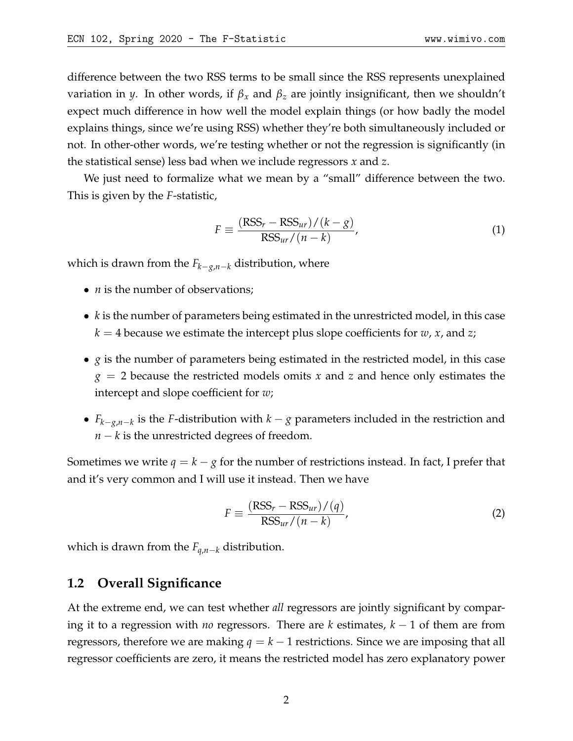difference between the two RSS terms to be small since the RSS represents unexplained variation in *y*. In other words, if *β<sup>x</sup>* and *β<sup>z</sup>* are jointly insignificant, then we shouldn't expect much difference in how well the model explain things (or how badly the model explains things, since we're using RSS) whether they're both simultaneously included or not. In other-other words, we're testing whether or not the regression is significantly (in the statistical sense) less bad when we include regressors *x* and *z*.

We just need to formalize what we mean by a "small" difference between the two. This is given by the *F*-statistic,

$$
F \equiv \frac{(\text{RSS}_r - \text{RSS}_{ur})/(k - g)}{\text{RSS}_{ur}/(n - k)},
$$
\n(1)

which is drawn from the *Fk*−*g*,*n*−*<sup>k</sup>* distribution, where

- *n* is the number of observations;
- *k* is the number of parameters being estimated in the unrestricted model, in this case  $k = 4$  because we estimate the intercept plus slope coefficients for *w*, *x*, and *z*;
- *g* is the number of parameters being estimated in the restricted model, in this case *g* = 2 because the restricted models omits *x* and *z* and hence only estimates the intercept and slope coefficient for *w*;
- *Fk*−*g*,*n*−*<sup>k</sup>* is the *F*-distribution with *k* − *g* parameters included in the restriction and *n* − *k* is the unrestricted degrees of freedom.

Sometimes we write  $q = k - g$  for the number of restrictions instead. In fact, I prefer that and it's very common and I will use it instead. Then we have

$$
F \equiv \frac{(\text{RSS}_r - \text{RSS}_{ur})/(q)}{\text{RSS}_{ur}/(n-k)},
$$
\n(2)

which is drawn from the *Fq*,*n*−*<sup>k</sup>* distribution.

### **1.2 Overall Significance**

At the extreme end, we can test whether *all* regressors are jointly significant by comparing it to a regression with *no* regressors. There are *k* estimates, *k* − 1 of them are from regressors, therefore we are making  $q = k - 1$  restrictions. Since we are imposing that all regressor coefficients are zero, it means the restricted model has zero explanatory power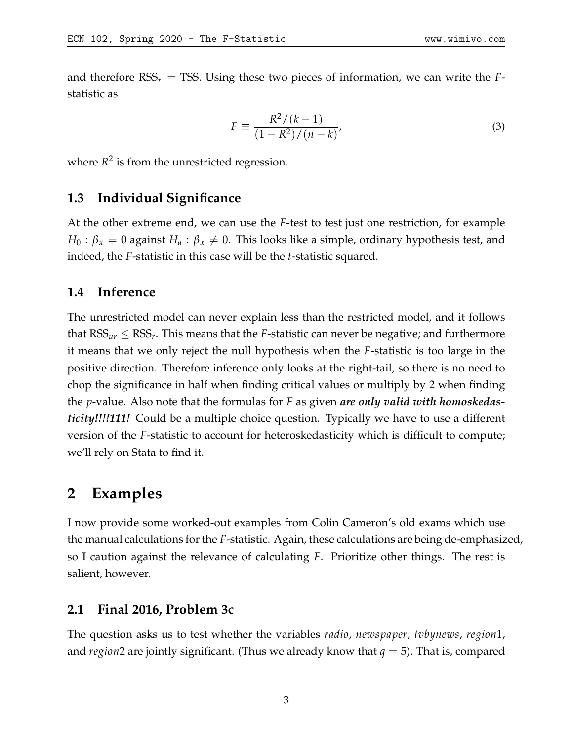and therefore  $RSS<sub>r</sub> = TSS$ . Using these two pieces of information, we can write the *F*statistic as

$$
F \equiv \frac{R^2/(k-1)}{(1 - R^2)/(n - k)},
$$
\n(3)

where  $R^2$  is from the unrestricted regression.

### **1.3 Individual Significance**

At the other extreme end, we can use the *F*-test to test just one restriction, for example  $H_0: \beta_x = 0$  against  $H_a: \beta_x \neq 0$ . This looks like a simple, ordinary hypothesis test, and indeed, the *F*-statistic in this case will be the *t*-statistic squared.

# **1.4 Inference**

The unrestricted model can never explain less than the restricted model, and it follows that  $\text{RSS}_{ur} \leq \text{RSS}_{r}.$  This means that the *F*-statistic can never be negative; and furthermore it means that we only reject the null hypothesis when the *F*-statistic is too large in the positive direction. Therefore inference only looks at the right-tail, so there is no need to chop the significance in half when finding critical values or multiply by 2 when finding the *p*-value. Also note that the formulas for *F* as given *are only valid with homoskedasticity!!!!111!* Could be a multiple choice question. Typically we have to use a different version of the *F*-statistic to account for heteroskedasticity which is difficult to compute; we'll rely on Stata to find it.

# **2 Examples**

I now provide some worked-out examples from Colin Cameron's old exams which use the manual calculations for the *F*-statistic. Again, these calculations are being de-emphasized, so I caution against the relevance of calculating *F*. Prioritize other things. The rest is salient, however.

# **2.1 Final 2016, Problem 3c**

The question asks us to test whether the variables *radio*, *newspaper*, *tvbynews*, *region*1, and *region*2 are jointly significant. (Thus we already know that *q* = 5). That is, compared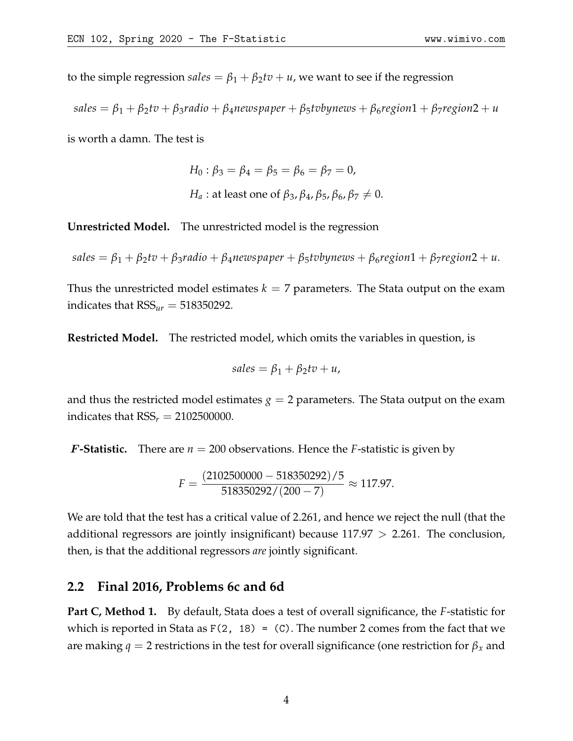to the simple regression *sales* =  $\beta_1 + \beta_2 tv + u$ , we want to see if the regression

$$
sales = \beta_1 + \beta_2 tv + \beta_3 radio + \beta_4 newspaper + \beta_5 tobynews + \beta_6 region1 + \beta_7 region2 + u
$$

is worth a damn. The test is

$$
H_0: \beta_3 = \beta_4 = \beta_5 = \beta_6 = \beta_7 = 0,
$$
  
\n $H_a: \text{at least one of } \beta_3, \beta_4, \beta_5, \beta_6, \beta_7 \neq 0.$ 

**Unrestricted Model.** The unrestricted model is the regression

$$
sales = \beta_1 + \beta_2 tv + \beta_3 radio + \beta_4 newspaper + \beta_5 tobynews + \beta_6 region1 + \beta_7 region2 + u.
$$

Thus the unrestricted model estimates  $k = 7$  parameters. The Stata output on the exam indicates that  $RSS<sub>ur</sub> = 518350292$ .

**Restricted Model.** The restricted model, which omits the variables in question, is

$$
sales = \beta_1 + \beta_2 tv + u,
$$

and thus the restricted model estimates  $g = 2$  parameters. The Stata output on the exam indicates that  $RSS<sub>r</sub> = 2102500000$ .

**F-Statistic.** There are  $n = 200$  observations. Hence the *F*-statistic is given by

$$
F = \frac{(2102500000 - 518350292)/5}{518350292/(200 - 7)} \approx 117.97.
$$

We are told that the test has a critical value of 2.261, and hence we reject the null (that the additional regressors are jointly insignificant) because  $117.97 > 2.261$ . The conclusion, then, is that the additional regressors *are* jointly significant.

#### **2.2 Final 2016, Problems 6c and 6d**

**Part C, Method 1.** By default, Stata does a test of overall significance, the *F*-statistic for which is reported in Stata as  $F(2, 18) = (C)$ . The number 2 comes from the fact that we are making  $q = 2$  restrictions in the test for overall significance (one restriction for  $\beta_x$  and